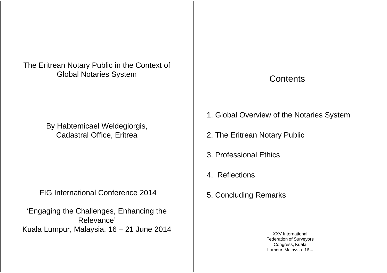The Eritrean Notary Public in the Context of Global Notaries System

> By Habtemicael Weldegiorgis, Cadastral Office, Eritrea

FIG International Conference 2014

'Engaging the Challenges, Enhancing the Relevance' Kuala Lumpur, Malaysia, 16 – 21 June 2014

# **Contents**

- 1. Global Overview of the Notaries System
- 2. The Eritrean Notary Public
- 3. Professional Ethics
- 4. Reflections
- 5. Concluding Remarks

XXV International Federation of Surveyors Congress, Kuala Lumpur, Malaysia, 16 –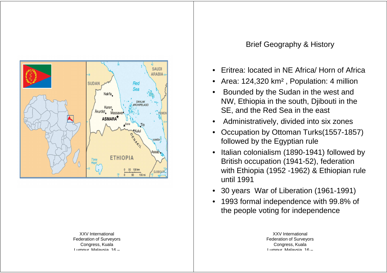

XXV International Federation of Surveyors Congress, Kuala

- 
- 
- 
- 
- 
- 
- 
-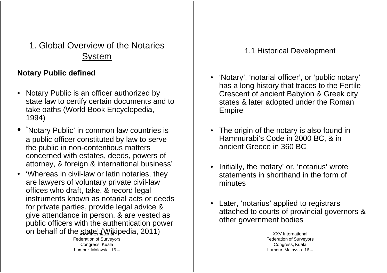# 1. Global Overview of the Notaries System

## **Notary Public defined**

- Notary Public is an officer authorized by state law to certify certain documents and to take oaths (World Book Encyclopedia, 1994)
- 'Notary Public' in common law countries is a public officer constituted by law to serve the public in non-contentious matters concerned with estates, deeds, powers of attorney, & foreign & international business'
- 'Whereas in civil-law or latin notaries, they are lawyers of voluntary private civil-law offices who draft, take, & record legal instruments known as notarial acts or deeds for private parties, provide legal advice & give attendance in person, & are vested as public officers with the authentication power on behalf of the state  $(M\text{div}_1 Q_1 + 2011)$

Federation of Surveyors Congress, Kuala Lumpur, Malaysia, 16

- 1.1 Historical Development<br>
1.1 Historical Development<br>
Intended by<br>
the as a long history that traces to the Fertile<br>
locuments and to<br>
crescent of ancient Babylon & Greek city<br>
states & later adopted under the Roman<br>
Emp
	-
	-
	-

Lumnur Malayeia 16-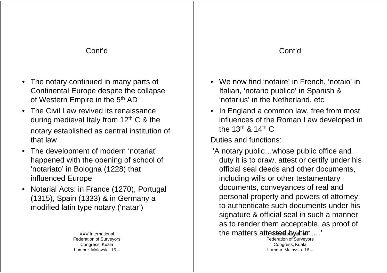### Cont'd

- The notary continued in many parts of Continental Europe despite the collapse of Western Empire in the 5<sup>th</sup> AD
- The Civil Law revived its renaissance during medieval Italy from  $12<sup>th</sup>$  C & the notary established as central institution of that law
- The development of modern 'notariat' happened with the opening of school of 'notariato' in Bologna (1228) that influenced Europe
- Notarial Acts: in France (1270), Portugal (1315), Spain (1333) & in Germany a modified latin type notary ('natar')

XXV International Federation of Surveyors Congress, Kuala Lumpur, Malaysia, 16

- 
- the 13<sup>th</sup> & 14<sup>th</sup> C

Duties and functions:

Control<br>
Solution and the collapse transform of the collapse transform of the collapse transform and the collapse transform to the set of the Netherland, etc of the Represention of the 13<sup>th</sup> & 14<sup>th</sup> C buties and functio 'A notary public…whose public office and duty it is to draw, attest or certify under his official seal deeds and other documents, including wills or other testamentary documents, conveyances of real and personal property and powers of attorney: to authenticate such documents under his signature & official seal in such a manner as to render them acceptable, as proof of the matters attested  $_4$  by  $\mu$  in  $\mu$ ...<sup>7</sup>

Federation of Surveyors Congress, Kuala Lumpur, Malaysia, 16 –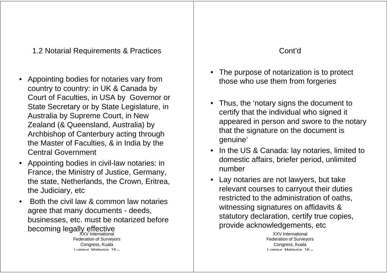1.2 Notarial Requirements & Practices

- Appointing bodies for notaries vary from country to country: in UK & Canada by Court of Faculties, in USA by Governor or State Secretary or by State Legislature, in Australia by Supreme Court, in New Zealand (& Queensland, Australia) by Archbishop of Canterbury acting through the Master of Faculties, & in India by the Central Government
- Appointing bodies in civil-law notaries: in France, the Ministry of Justice, Germany, the state, Netherlands, the Crown, Eritrea, the Judiciary, etc
- Both the civil law & common law notaries agree that many documents - deeds, businesses, etc. must be notarized before becoming legally effective Federation of Surveyors Congress, Kuala Lumpur, Malaysia, 16

## Cont'd

- 
- 
- 
- The purpose of notarization is to protect<br>
those who use them from forgeries<br>
these who use them from forgeries<br>
that the individual who signed it<br>
that in New<br>
tatter in New<br>
appeared in person and swore to the notary<br>
ac

XXV International Federation of Surveyors Congress, Kuala Lumpur, Malaysia, 16 –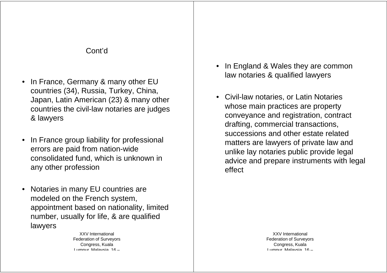### Cont'd

- In France, Germany & many other EU countries (34), Russia, Turkey, China, Japan, Latin American (23) & many other countries the civil-law notaries are judges & lawyers
- In France group liability for professional errors are paid from nation-wide consolidated fund, which is unknown in any other profession
- Notaries in many EU countries are modeled on the French system, appointment based on nationality, limited number, usually for life, & are qualified lawyers

XXV International Federation of Surveyors Congress, Kuala Lumpur, Malaysia, 16

- 
- In England & Wales they are common<br>
rivey, China,<br>
18 A many other<br>
any other<br>
any other<br>
 Civil-law notaries & qualified lawyers<br>
whose main practices are property<br>
conveyance and registration, contract<br>
drafting, comm

Lumnur Malayeia 16-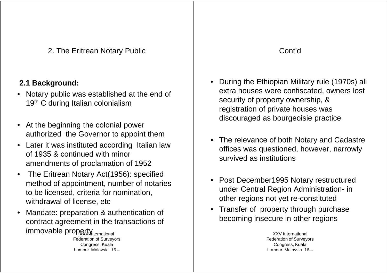2. The Eritrean Notary Public

## **2.1 Background:**

- Notary public was established at the end of 19<sup>th</sup> C during Italian colonialism
- At the beginning the colonial power authorized the Governor to appoint them
- Later it was instituted according Italian law of 1935 & continued with minor amendments of proclamation of 1952
- The Eritrean Notary Act(1956): specified method of appointment, number of notaries to be licensed, criteria for nomination, withdrawal of license, etc.
- Mandate: preparation & authentication of contract agreement in the transactions of immovable property Mternational

Federation of Surveyors Congress, Kuala

- Entream Notary Public<br>
1:<br>
1:<br>
was established at the end of<br>
talian colonialism<br>
was established at the end of<br>
security of property ownership, &<br>
registration of private houses was<br>
registration of property energies as<br>
	-
	-
	-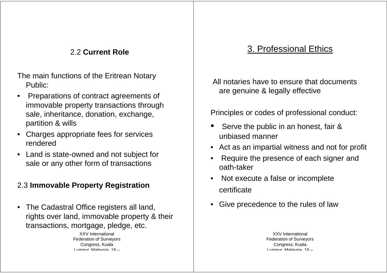### 2.2 **Current Role**

The main functions of the Eritrean Notary Public:

- Preparations of contract agreements of immovable property transactions through sale, inheritance, donation, exchange, partition & wills 9. Professional Ethics<br>
and of the Eritrean Notary<br>
of contract agreements of<br>
operty transactions through<br>
Section and the Section of the Section of the Section of the Section of the Section of the Section of the Secti
- Charges appropriate fees for services rendered
- Land is state-owned and not subject for sale or any other form of transactions

# 2.3 **Immovable Property Registration**

• The Cadastral Office registers all land, rights over land, immovable property & their transactions, mortgage, pledge, etc.

> XXV International Federation of Surveyors Congress, Kuala

- 
- 
- 
- 
-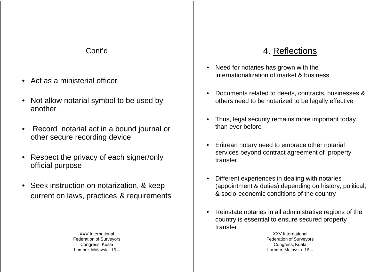### Cont'd

- Act as a ministerial officer
- Not allow notarial symbol to be used by another
- Record notarial act in a bound journal or other secure recording device
- Respect the privacy of each signer/only official purpose
- Seek instruction on notarization, & keep current on laws, practices & requirements

XXV International Federation of Surveyors Congress, Kuala

- 
- 
- 
- 
- Cont'd<br>
Sterial officer<br>
Sterial officer<br>
and symbol to be used by<br>
and symbol to be used by<br>
<br>
and symbol to be used by<br>
<br>
<br>
Pocuments related to deeds, contracts, businesses &<br>
others need to be notarized to be legally
	-